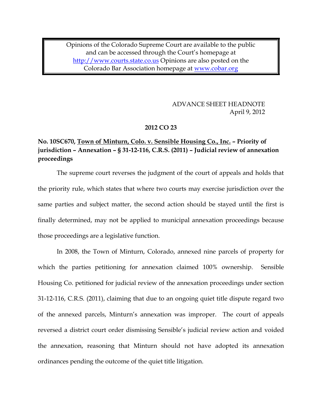Opinions of the Colorado Supreme Court are available to the public and can be accessed through the Court's homepage at [http://www.courts.state.co.us](http://www.courts.state.co.us/) Opinions are also posted on the Colorado Bar Association homepage at [www.cobar.org](http://www.cobar.org/)

> ADVANCE SHEET HEADNOTE April 9, 2012

### **2012 CO 23**

# **No. 10SC670, Town of Minturn, Colo. v. Sensible Housing Co., Inc. – Priority of jurisdiction – Annexation – § 31-12-116, C.R.S. (2011) – Judicial review of annexation proceedings**

The supreme court reverses the judgment of the court of appeals and holds that the priority rule, which states that where two courts may exercise jurisdiction over the same parties and subject matter, the second action should be stayed until the first is finally determined, may not be applied to municipal annexation proceedings because those proceedings are a legislative function.

In 2008, the Town of Minturn, Colorado, annexed nine parcels of property for which the parties petitioning for annexation claimed 100% ownership. Sensible Housing Co. petitioned for judicial review of the annexation proceedings under section 31-12-116, C.R.S. (2011), claiming that due to an ongoing quiet title dispute regard two of the annexed parcels, Minturn's annexation was improper. The court of appeals reversed a district court order dismissing Sensible's judicial review action and voided the annexation, reasoning that Minturn should not have adopted its annexation ordinances pending the outcome of the quiet title litigation.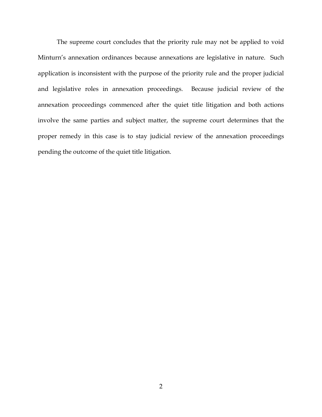The supreme court concludes that the priority rule may not be applied to void Minturn's annexation ordinances because annexations are legislative in nature. Such application is inconsistent with the purpose of the priority rule and the proper judicial and legislative roles in annexation proceedings. Because judicial review of the annexation proceedings commenced after the quiet title litigation and both actions involve the same parties and subject matter, the supreme court determines that the proper remedy in this case is to stay judicial review of the annexation proceedings pending the outcome of the quiet title litigation.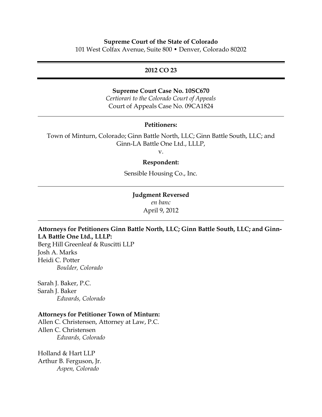### **Supreme Court of the State of Colorado**

101 West Colfax Avenue, Suite 800 • Denver, Colorado 80202

### **2012 CO 23**

### **Supreme Court Case No. 10SC670**

*Certiorari to the Colorado Court of Appeals* Court of Appeals Case No. 09CA1824

### **Petitioners:**

Town of Minturn, Colorado; Ginn Battle North, LLC; Ginn Battle South, LLC; and Ginn-LA Battle One Ltd., LLLP,

v.

#### **Respondent:**

Sensible Housing Co., Inc.

# **Judgment Reversed**

*en banc* April 9, 2012

# **Attorneys for Petitioners Ginn Battle North, LLC; Ginn Battle South, LLC; and Ginn-LA Battle One Ltd., LLLP:**

Berg Hill Greenleaf & Ruscitti LLP Josh A. Marks Heidi C. Potter *Boulder, Colorado*

Sarah J. Baker, P.C. Sarah J. Baker *Edwards, Colorado*

### **Attorneys for Petitioner Town of Minturn:**

Allen C. Christensen, Attorney at Law, P.C. Allen C. Christensen *Edwards, Colorado*

Holland & Hart LLP Arthur B. Ferguson, Jr. *Aspen, Colorado*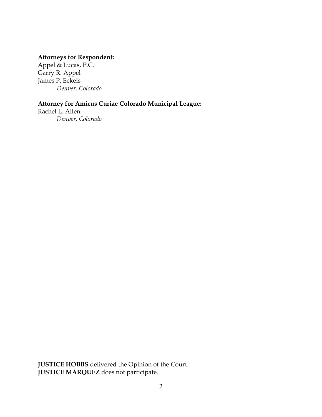# **Attorneys for Respondent:**

Appel & Lucas, P.C. Garry R. Appel James P. Eckels *Denver, Colorado*

# **Attorney for Amicus Curiae Colorado Municipal League:**

Rachel L. Allen *Denver, Colorado*

**JUSTICE HOBBS** delivered the Opinion of the Court. **JUSTICE MÁRQUEZ** does not participate.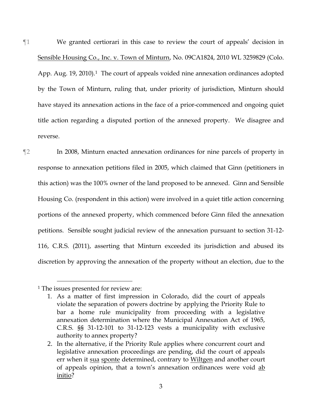¶1 We granted certiorari in this case to review the court of appeals' decision in Sensible Housing Co., Inc. v. Town of Minturn, No. 09CA1824, 2010 WL 3259829 (Colo. App. Aug. 19, 2010).<sup>1</sup> The court of appeals voided nine annexation ordinances adopted by the Town of Minturn, ruling that, under priority of jurisdiction, Minturn should have stayed its annexation actions in the face of a prior-commenced and ongoing quiet title action regarding a disputed portion of the annexed property. We disagree and reverse.

¶2 In 2008, Minturn enacted annexation ordinances for nine parcels of property in response to annexation petitions filed in 2005, which claimed that Ginn (petitioners in this action) was the 100% owner of the land proposed to be annexed. Ginn and Sensible Housing Co. (respondent in this action) were involved in a quiet title action concerning portions of the annexed property, which commenced before Ginn filed the annexation petitions. Sensible sought judicial review of the annexation pursuant to section 31-12- 116, C.R.S. (2011), asserting that Minturn exceeded its jurisdiction and abused its discretion by approving the annexation of the property without an election, due to the

<sup>1</sup> The issues presented for review are:

<sup>1.</sup> As a matter of first impression in Colorado, did the court of appeals violate the separation of powers doctrine by applying the Priority Rule to bar a home rule municipality from proceeding with a legislative annexation determination where the Municipal Annexation Act of 1965, C.R.S. §§ 31-12-101 to 31-12-123 vests a municipality with exclusive authority to annex property?

<sup>2.</sup> In the alternative, if the Priority Rule applies where concurrent court and legislative annexation proceedings are pending, did the court of appeals err when it sua sponte determined, contrary to Wiltgen and another court of appeals opinion, that a town's annexation ordinances were void ab initio?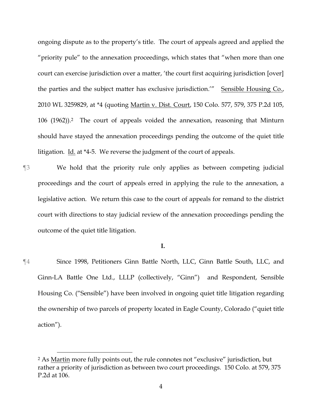ongoing dispute as to the property's title. The court of appeals agreed and applied the "priority pule" to the annexation proceedings, which states that "when more than one court can exercise jurisdiction over a matter, 'the court first acquiring jurisdiction [over] the parties and the subject matter has exclusive jurisdiction.'" Sensible Housing Co., 2010 WL 3259829, at \*4 (quoting Martin v. Dist. Court, 150 Colo. 577, 579, 375 P.2d 105, 106 (1962)). <sup>2</sup> The court of appeals voided the annexation, reasoning that Minturn should have stayed the annexation proceedings pending the outcome of the quiet title litigation. Id. at \*4-5. We reverse the judgment of the court of appeals.

¶3 We hold that the priority rule only applies as between competing judicial proceedings and the court of appeals erred in applying the rule to the annexation, a legislative action. We return this case to the court of appeals for remand to the district court with directions to stay judicial review of the annexation proceedings pending the outcome of the quiet title litigation.

#### **I.**

¶4 Since 1998, Petitioners Ginn Battle North, LLC, Ginn Battle South, LLC, and Ginn-LA Battle One Ltd., LLLP (collectively, "Ginn") and Respondent, Sensible Housing Co. ("Sensible") have been involved in ongoing quiet title litigation regarding the ownership of two parcels of property located in Eagle County, Colorado ("quiet title action").

<sup>2</sup> As Martin more fully points out, the rule connotes not "exclusive" jurisdiction, but rather a priority of jurisdiction as between two court proceedings. 150 Colo. at 579, 375 P.2d at 106.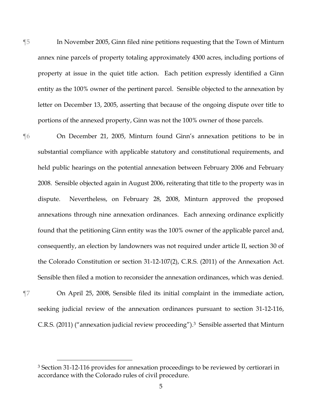- ¶5 In November 2005, Ginn filed nine petitions requesting that the Town of Minturn annex nine parcels of property totaling approximately 4300 acres, including portions of property at issue in the quiet title action. Each petition expressly identified a Ginn entity as the 100% owner of the pertinent parcel. Sensible objected to the annexation by letter on December 13, 2005, asserting that because of the ongoing dispute over title to portions of the annexed property, Ginn was not the 100% owner of those parcels.
- ¶6 On December 21, 2005, Minturn found Ginn's annexation petitions to be in substantial compliance with applicable statutory and constitutional requirements, and held public hearings on the potential annexation between February 2006 and February 2008. Sensible objected again in August 2006, reiterating that title to the property was in dispute. Nevertheless, on February 28, 2008, Minturn approved the proposed annexations through nine annexation ordinances. Each annexing ordinance explicitly found that the petitioning Ginn entity was the 100% owner of the applicable parcel and, consequently, an election by landowners was not required under article II, section 30 of the Colorado Constitution or section 31-12-107(2), C.R.S. (2011) of the Annexation Act. Sensible then filed a motion to reconsider the annexation ordinances, which was denied.

 $\overline{a}$ 

¶7 On April 25, 2008, Sensible filed its initial complaint in the immediate action, seeking judicial review of the annexation ordinances pursuant to section 31-12-116, C.R.S. (2011) ("annexation judicial review proceeding").3 Sensible asserted that Minturn

<sup>3</sup> Section 31-12-116 provides for annexation proceedings to be reviewed by certiorari in accordance with the Colorado rules of civil procedure.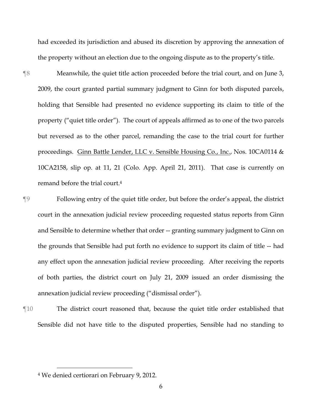had exceeded its jurisdiction and abused its discretion by approving the annexation of the property without an election due to the ongoing dispute as to the property's title.

¶8 Meanwhile, the quiet title action proceeded before the trial court, and on June 3, 2009, the court granted partial summary judgment to Ginn for both disputed parcels, holding that Sensible had presented no evidence supporting its claim to title of the property ("quiet title order"). The court of appeals affirmed as to one of the two parcels but reversed as to the other parcel, remanding the case to the trial court for further proceedings. Ginn Battle Lender, LLC v. Sensible Housing Co., Inc., Nos. 10CA0114 & 10CA2158, slip op. at 11, 21 (Colo. App. April 21, 2011). That case is currently on remand before the trial court.<sup>4</sup>

¶9 Following entry of the quiet title order, but before the order's appeal, the district court in the annexation judicial review proceeding requested status reports from Ginn and Sensible to determine whether that order -- granting summary judgment to Ginn on the grounds that Sensible had put forth no evidence to support its claim of title -- had any effect upon the annexation judicial review proceeding. After receiving the reports of both parties, the district court on July 21, 2009 issued an order dismissing the annexation judicial review proceeding ("dismissal order").

¶10 The district court reasoned that, because the quiet title order established that Sensible did not have title to the disputed properties, Sensible had no standing to

<sup>4</sup> We denied certiorari on February 9, 2012.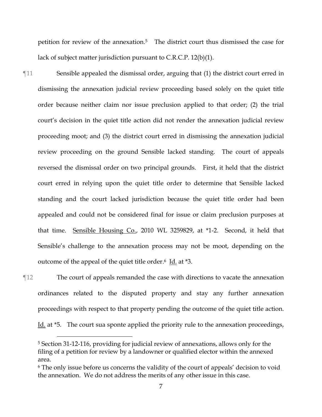petition for review of the annexation. <sup>5</sup> The district court thus dismissed the case for lack of subject matter jurisdiction pursuant to C.R.C.P. 12(b)(1).

- ¶11 Sensible appealed the dismissal order, arguing that (1) the district court erred in dismissing the annexation judicial review proceeding based solely on the quiet title order because neither claim nor issue preclusion applied to that order; (2) the trial court's decision in the quiet title action did not render the annexation judicial review proceeding moot; and (3) the district court erred in dismissing the annexation judicial review proceeding on the ground Sensible lacked standing. The court of appeals reversed the dismissal order on two principal grounds. First, it held that the district court erred in relying upon the quiet title order to determine that Sensible lacked standing and the court lacked jurisdiction because the quiet title order had been appealed and could not be considered final for issue or claim preclusion purposes at that time. Sensible Housing Co., 2010 WL 3259829, at \*1-2. Second, it held that Sensible's challenge to the annexation process may not be moot, depending on the outcome of the appeal of the quiet title order.6 Id. at \*3.
- ¶12 The court of appeals remanded the case with directions to vacate the annexation ordinances related to the disputed property and stay any further annexation proceedings with respect to that property pending the outcome of the quiet title action. Id. at  $*5$ . The court sua sponte applied the priority rule to the annexation proceedings,

<sup>5</sup> Section 31-12-116, providing for judicial review of annexations, allows only for the filing of a petition for review by a landowner or qualified elector within the annexed area.

<sup>6</sup> The only issue before us concerns the validity of the court of appeals' decision to void the annexation. We do not address the merits of any other issue in this case.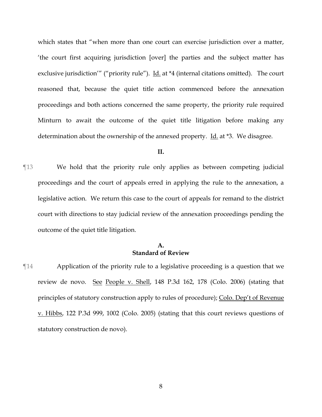which states that "when more than one court can exercise jurisdiction over a matter, 'the court first acquiring jurisdiction [over] the parties and the subject matter has exclusive jurisdiction'" ("priority rule"). Id. at \*4 (internal citations omitted). The court reasoned that, because the quiet title action commenced before the annexation proceedings and both actions concerned the same property, the priority rule required Minturn to await the outcome of the quiet title litigation before making any determination about the ownership of the annexed property. Id. at \*3. We disagree.

#### **II.**

¶13 We hold that the priority rule only applies as between competing judicial proceedings and the court of appeals erred in applying the rule to the annexation, a legislative action. We return this case to the court of appeals for remand to the district court with directions to stay judicial review of the annexation proceedings pending the outcome of the quiet title litigation.

### **A. Standard of Review**

¶14 Application of the priority rule to a legislative proceeding is a question that we review de novo. See People v. Shell, 148 P.3d 162, 178 (Colo. 2006) (stating that principles of statutory construction apply to rules of procedure); Colo. Dep't of Revenue v. Hibbs, 122 P.3d 999, 1002 (Colo. 2005) (stating that this court reviews questions of statutory construction de novo).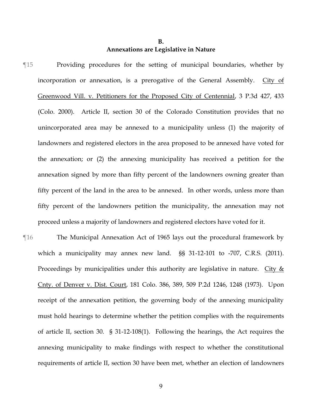# **B. Annexations are Legislative in Nature**

- ¶15 Providing procedures for the setting of municipal boundaries, whether by incorporation or annexation, is a prerogative of the General Assembly. City of Greenwood Vill. v. Petitioners for the Proposed City of Centennial, 3 P.3d 427, 433 (Colo. 2000). Article II, section 30 of the Colorado Constitution provides that no unincorporated area may be annexed to a municipality unless (1) the majority of landowners and registered electors in the area proposed to be annexed have voted for the annexation; or (2) the annexing municipality has received a petition for the annexation signed by more than fifty percent of the landowners owning greater than fifty percent of the land in the area to be annexed. In other words, unless more than fifty percent of the landowners petition the municipality, the annexation may not proceed unless a majority of landowners and registered electors have voted for it.
- ¶16 The Municipal Annexation Act of 1965 lays out the procedural framework by which a municipality may annex new land. §§ 31-12-101 to -707, C.R.S. (2011). Proceedings by municipalities under this authority are legislative in nature. City  $&$ Cnty. of Denver v. Dist. Court, 181 Colo. 386, 389, 509 P.2d 1246, 1248 (1973). Upon receipt of the annexation petition, the governing body of the annexing municipality must hold hearings to determine whether the petition complies with the requirements of article II, section 30. § 31-12-108(1). Following the hearings, the Act requires the annexing municipality to make findings with respect to whether the constitutional requirements of article II, section 30 have been met, whether an election of landowners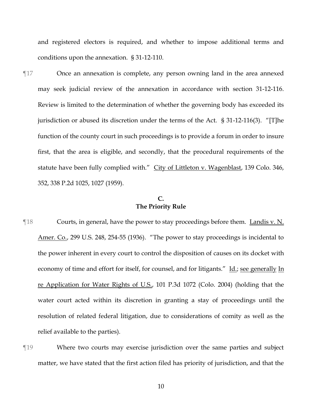and registered electors is required, and whether to impose additional terms and conditions upon the annexation. § 31-12-110.

¶17 Once an annexation is complete, any person owning land in the area annexed may seek judicial review of the annexation in accordance with section 31-12-116. Review is limited to the determination of whether the governing body has exceeded its jurisdiction or abused its discretion under the terms of the Act. § 31-12-116(3). "[T]he function of the county court in such proceedings is to provide a forum in order to insure first, that the area is eligible, and secondly, that the procedural requirements of the statute have been fully complied with." City of Littleton v. Wagenblast, 139 Colo. 346, 352, 338 P.2d 1025, 1027 (1959).

# **C. The Priority Rule**

- ¶18 Courts, in general, have the power to stay proceedings before them. Landis v. N. Amer. Co., 299 U.S. 248, 254-55 (1936). "The power to stay proceedings is incidental to the power inherent in every court to control the disposition of causes on its docket with economy of time and effort for itself, for counsel, and for litigants." Id.; see generally In re Application for Water Rights of U.S., 101 P.3d 1072 (Colo. 2004) (holding that the water court acted within its discretion in granting a stay of proceedings until the resolution of related federal litigation, due to considerations of comity as well as the relief available to the parties).
- ¶19 Where two courts may exercise jurisdiction over the same parties and subject matter, we have stated that the first action filed has priority of jurisdiction, and that the

10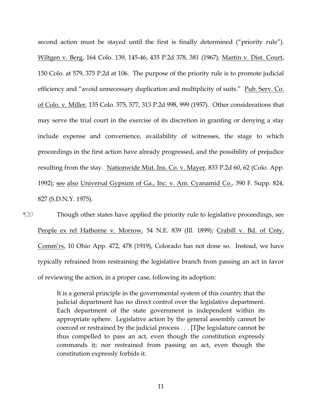second action must be stayed until the first is finally determined ("priority rule"). Wiltgen v. Berg, 164 Colo. 139, 145-46, 435 P.2d 378, 381 (1967); Martin v. Dist. Court, 150 Colo. at 579, 375 P.2d at 106. The purpose of the priority rule is to promote judicial efficiency and "avoid unnecessary duplication and multiplicity of suits." Pub. Serv. Co. of Colo. v. Miller, 135 Colo. 575, 577, 313 P.2d 998, 999 (1957). Other considerations that may serve the trial court in the exercise of its discretion in granting or denying a stay include expense and convenience, availability of witnesses, the stage to which proceedings in the first action have already progressed, and the possibility of prejudice resulting from the stay. Nationwide Mut. Ins. Co. v. Mayer, 833 P.2d 60, 62 (Colo. App. 1992); see also Universal Gypsum of Ga., Inc. v. Am. Cyanamid Co., 390 F. Supp. 824, 827 (S.D.N.Y. 1975).

¶20 Though other states have applied the priority rule to legislative proceedings, see People ex rel Hathorne v. Morrow, 54 N.E. 839 (Ill. 1899); Crabill v. Bd. of Cnty. Comm'rs, 10 Ohio App. 472, 478 (1919), Colorado has not done so. Instead, we have typically refrained from restraining the legislative branch from passing an act in favor of reviewing the action, in a proper case, following its adoption:

> It is a general principle in the governmental system of this country that the judicial department has no direct control over the legislative department. Each department of the state government is independent within its appropriate sphere. Legislative action by the general assembly cannot be coerced or restrained by the judicial process . . . [T]he legislature cannot be thus compelled to pass an act, even though the constitution expressly commands it; nor restrained from passing an act, even though the constitution expressly forbids it.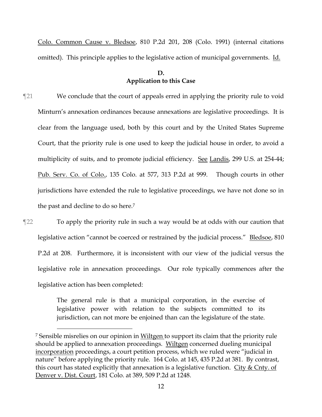Colo. Common Cause v. Bledsoe, 810 P.2d 201, 208 (Colo. 1991) (internal citations omitted). This principle applies to the legislative action of municipal governments. Id.

### **D. Application to this Case**

- ¶21 We conclude that the court of appeals erred in applying the priority rule to void Minturn's annexation ordinances because annexations are legislative proceedings. It is clear from the language used, both by this court and by the United States Supreme Court, that the priority rule is one used to keep the judicial house in order, to avoid a multiplicity of suits, and to promote judicial efficiency. See Landis, 299 U.S. at 254-44; Pub. Serv. Co. of Colo., 135 Colo. at 577, 313 P.2d at 999. Though courts in other jurisdictions have extended the rule to legislative proceedings, we have not done so in the past and decline to do so here.<sup>7</sup>
- ¶22 To apply the priority rule in such a way would be at odds with our caution that legislative action "cannot be coerced or restrained by the judicial process." Bledsoe, 810 P.2d at 208. Furthermore, it is inconsistent with our view of the judicial versus the legislative role in annexation proceedings. Our role typically commences after the legislative action has been completed:

The general rule is that a municipal corporation, in the exercise of legislative power with relation to the subjects committed to its jurisdiction, can not more be enjoined than can the legislature of the state.

<sup>&</sup>lt;sup>7</sup> Sensible misrelies on our opinion in Wiltgen to support its claim that the priority rule should be applied to annexation proceedings. Wiltgen concerned dueling municipal incorporation proceedings, a court petition process, which we ruled were "judicial in nature" before applying the priority rule. 164 Colo. at 145, 435 P.2d at 381. By contrast, this court has stated explicitly that annexation is a legislative function. City  $&$  Cnty. of Denver v. Dist. Court, 181 Colo. at 389, 509 P.2d at 1248.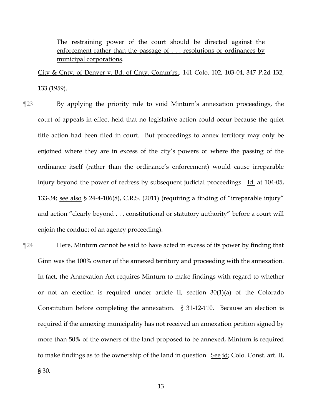The restraining power of the court should be directed against the enforcement rather than the passage of . . . resolutions or ordinances by municipal corporations.

City & Cnty. of Denver v. Bd. of Cnty. Comm'rs., 141 Colo. 102, 103-04, 347 P.2d 132, 133 (1959).

- ¶23 By applying the priority rule to void Minturn's annexation proceedings, the court of appeals in effect held that no legislative action could occur because the quiet title action had been filed in court. But proceedings to annex territory may only be enjoined where they are in excess of the city's powers or where the passing of the ordinance itself (rather than the ordinance's enforcement) would cause irreparable injury beyond the power of redress by subsequent judicial proceedings. Id. at 104-05, 133-34; see also § 24-4-106(8), C.R.S. (2011) (requiring a finding of "irreparable injury" and action "clearly beyond . . . constitutional or statutory authority" before a court will enjoin the conduct of an agency proceeding).
- ¶24 Here, Minturn cannot be said to have acted in excess of its power by finding that Ginn was the 100% owner of the annexed territory and proceeding with the annexation. In fact, the Annexation Act requires Minturn to make findings with regard to whether or not an election is required under article II, section 30(1)(a) of the Colorado Constitution before completing the annexation. § 31-12-110. Because an election is required if the annexing municipality has not received an annexation petition signed by more than 50% of the owners of the land proposed to be annexed, Minturn is required to make findings as to the ownership of the land in question. See id; Colo. Const. art. II, § 30.